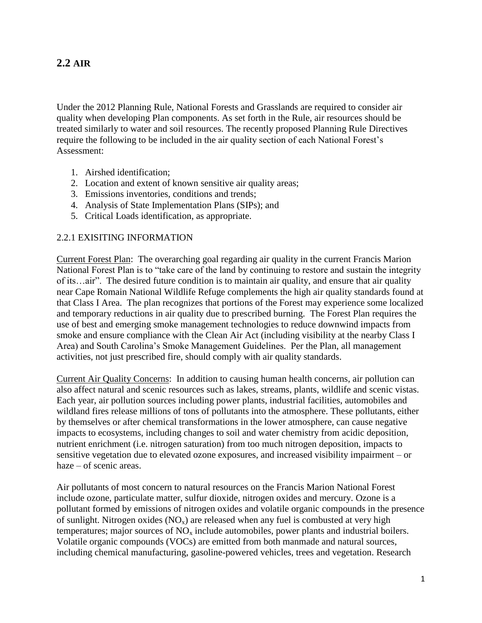# **2.2 AIR**

Under the 2012 Planning Rule, National Forests and Grasslands are required to consider air quality when developing Plan components. As set forth in the Rule, air resources should be treated similarly to water and soil resources. The recently proposed Planning Rule Directives require the following to be included in the air quality section of each National Forest's Assessment:

- 1. Airshed identification;
- 2. Location and extent of known sensitive air quality areas;
- 3. Emissions inventories, conditions and trends;
- 4. Analysis of State Implementation Plans (SIPs); and
- 5. Critical Loads identification, as appropriate.

#### 2.2.1 EXISITING INFORMATION

Current Forest Plan: The overarching goal regarding air quality in the current Francis Marion National Forest Plan is to "take care of the land by continuing to restore and sustain the integrity of its…air". The desired future condition is to maintain air quality, and ensure that air quality near Cape Romain National Wildlife Refuge complements the high air quality standards found at that Class I Area. The plan recognizes that portions of the Forest may experience some localized and temporary reductions in air quality due to prescribed burning. The Forest Plan requires the use of best and emerging smoke management technologies to reduce downwind impacts from smoke and ensure compliance with the Clean Air Act (including visibility at the nearby Class I Area) and South Carolina's Smoke Management Guidelines. Per the Plan, all management activities, not just prescribed fire, should comply with air quality standards.

Current Air Quality Concerns: In addition to causing human health concerns, air pollution can also affect natural and scenic resources such as lakes, streams, plants, wildlife and scenic vistas. Each year, air pollution sources including power plants, industrial facilities, automobiles and wildland fires release millions of tons of pollutants into the atmosphere. These pollutants, either by themselves or after chemical transformations in the lower atmosphere, can cause negative impacts to ecosystems, including changes to soil and water chemistry from acidic deposition, nutrient enrichment (i.e. nitrogen saturation) from too much nitrogen deposition, impacts to sensitive vegetation due to elevated ozone exposures, and increased visibility impairment – or haze – of scenic areas.

Air pollutants of most concern to natural resources on the Francis Marion National Forest include ozone, particulate matter, sulfur dioxide, nitrogen oxides and mercury. Ozone is a pollutant formed by emissions of nitrogen oxides and volatile organic compounds in the presence of sunlight. Nitrogen oxides  $(NO_x)$  are released when any fuel is combusted at very high temperatures; major sources of  $NO<sub>x</sub>$  include automobiles, power plants and industrial boilers. Volatile organic compounds (VOCs) are emitted from both manmade and natural sources, including chemical manufacturing, gasoline-powered vehicles, trees and vegetation. Research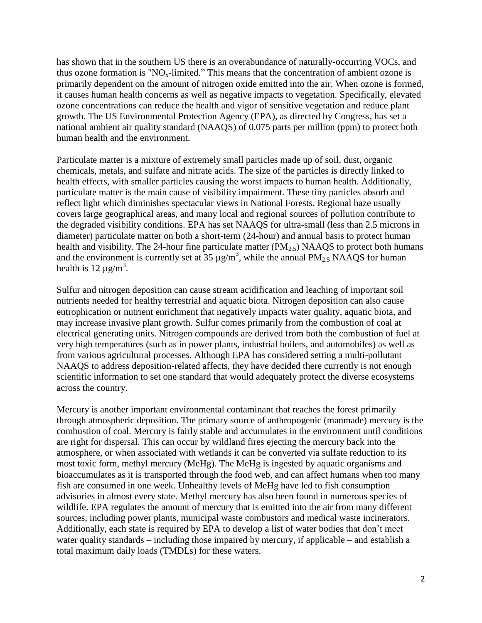has shown that in the southern US there is an overabundance of naturally-occurring VOCs, and thus ozone formation is " $NO<sub>x</sub>$ -limited." This means that the concentration of ambient ozone is primarily dependent on the amount of nitrogen oxide emitted into the air. When ozone is formed, it causes human health concerns as well as negative impacts to vegetation. Specifically, elevated ozone concentrations can reduce the health and vigor of sensitive vegetation and reduce plant growth. The US Environmental Protection Agency (EPA), as directed by Congress, has set a national ambient air quality standard (NAAQS) of 0.075 parts per million (ppm) to protect both human health and the environment.

Particulate matter is a mixture of extremely small particles made up of soil, dust, organic chemicals, metals, and sulfate and nitrate acids. The size of the particles is directly linked to health effects, with smaller particles causing the worst impacts to human health. Additionally, particulate matter is the main cause of visibility impairment. These tiny particles absorb and reflect light which diminishes spectacular views in National Forests. Regional haze usually covers large geographical areas, and many local and regional sources of pollution contribute to the degraded visibility conditions. EPA has set NAAQS for ultra-small (less than 2.5 microns in diameter) particulate matter on both a short-term (24-hour) and annual basis to protect human health and visibility. The 24-hour fine particulate matter  $(PM_{2.5})$  NAAQS to protect both humans and the environment is currently set at  $35 \mu g/m^3$ , while the annual PM<sub>2.5</sub> NAAQS for human health is 12  $\mu$ g/m<sup>3</sup>.

Sulfur and nitrogen deposition can cause stream acidification and leaching of important soil nutrients needed for healthy terrestrial and aquatic biota. Nitrogen deposition can also cause eutrophication or nutrient enrichment that negatively impacts water quality, aquatic biota, and may increase invasive plant growth. Sulfur comes primarily from the combustion of coal at electrical generating units. Nitrogen compounds are derived from both the combustion of fuel at very high temperatures (such as in power plants, industrial boilers, and automobiles) as well as from various agricultural processes. Although EPA has considered setting a multi-pollutant NAAQS to address deposition-related affects, they have decided there currently is not enough scientific information to set one standard that would adequately protect the diverse ecosystems across the country.

Mercury is another important environmental contaminant that reaches the forest primarily through atmospheric deposition. The primary source of anthropogenic (manmade) mercury is the combustion of coal. Mercury is fairly stable and accumulates in the environment until conditions are right for dispersal. This can occur by wildland fires ejecting the mercury back into the atmosphere, or when associated with wetlands it can be converted via sulfate reduction to its most toxic form, methyl mercury (MeHg). The MeHg is ingested by aquatic organisms and bioaccumulates as it is transported through the food web, and can affect humans when too many fish are consumed in one week. Unhealthy levels of MeHg have led to fish consumption advisories in almost every state. Methyl mercury has also been found in numerous species of wildlife. EPA regulates the amount of mercury that is emitted into the air from many different sources, including power plants, municipal waste combustors and medical waste incinerators. Additionally, each state is required by EPA to develop a list of water bodies that don't meet water quality standards – including those impaired by mercury, if applicable – and establish a total maximum daily loads (TMDLs) for these waters.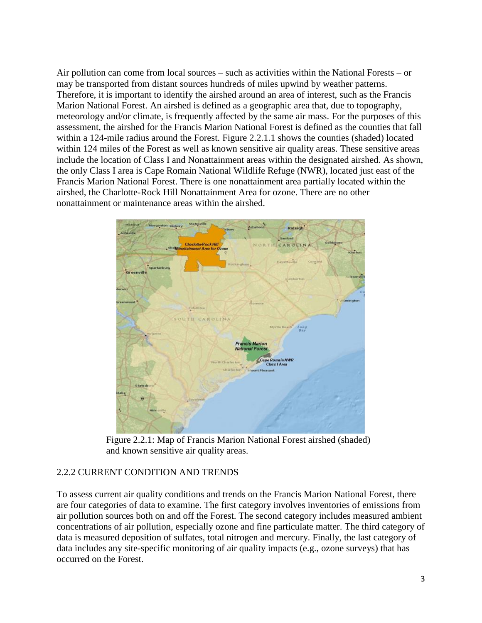Air pollution can come from local sources – such as activities within the National Forests – or may be transported from distant sources hundreds of miles upwind by weather patterns. Therefore, it is important to identify the airshed around an area of interest, such as the Francis Marion National Forest. An airshed is defined as a geographic area that, due to topography, meteorology and/or climate, is frequently affected by the same air mass. For the purposes of this assessment, the airshed for the Francis Marion National Forest is defined as the counties that fall within a 124-mile radius around the Forest. Figure 2.2.1.1 shows the counties (shaded) located within 124 miles of the Forest as well as known sensitive air quality areas. These sensitive areas include the location of Class I and Nonattainment areas within the designated airshed. As shown, the only Class I area is Cape Romain National Wildlife Refuge (NWR), located just east of the Francis Marion National Forest. There is one nonattainment area partially located within the airshed, the Charlotte-Rock Hill Nonattainment Area for ozone. There are no other nonattainment or maintenance areas within the airshed.



Figure 2.2.1: Map of Francis Marion National Forest airshed (shaded) and known sensitive air quality areas.

## 2.2.2 CURRENT CONDITION AND TRENDS

To assess current air quality conditions and trends on the Francis Marion National Forest, there are four categories of data to examine. The first category involves inventories of emissions from air pollution sources both on and off the Forest. The second category includes measured ambient concentrations of air pollution, especially ozone and fine particulate matter. The third category of data is measured deposition of sulfates, total nitrogen and mercury. Finally, the last category of data includes any site-specific monitoring of air quality impacts (e.g., ozone surveys) that has occurred on the Forest.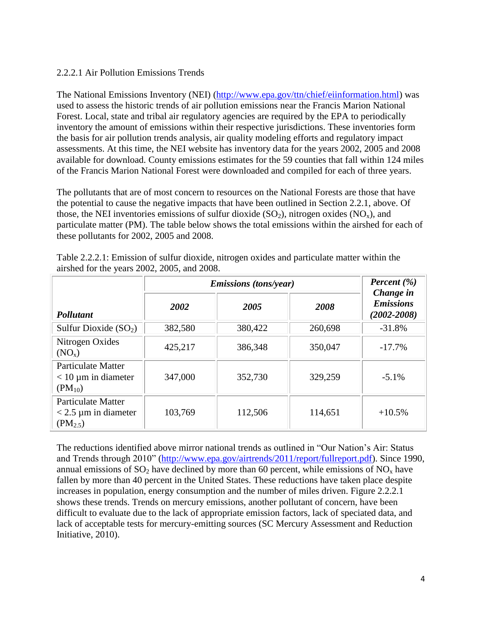### 2.2.2.1 Air Pollution Emissions Trends

The National Emissions Inventory (NEI) [\(http://www.epa.gov/ttn/chief/eiinformation.html\)](http://www.epa.gov/ttn/chief/eiinformation.html) was used to assess the historic trends of air pollution emissions near the Francis Marion National Forest. Local, state and tribal air regulatory agencies are required by the EPA to periodically inventory the amount of emissions within their respective jurisdictions. These inventories form the basis for air pollution trends analysis, air quality modeling efforts and regulatory impact assessments. At this time, the NEI website has inventory data for the years 2002, 2005 and 2008 available for download. County emissions estimates for the 59 counties that fall within 124 miles of the Francis Marion National Forest were downloaded and compiled for each of three years.

The pollutants that are of most concern to resources on the National Forests are those that have the potential to cause the negative impacts that have been outlined in Section 2.2.1, above. Of those, the NEI inventories emissions of sulfur dioxide  $(SO_2)$ , nitrogen oxides  $(NO_x)$ , and particulate matter (PM). The table below shows the total emissions within the airshed for each of these pollutants for 2002, 2005 and 2008.

|                                                                     | <i>Emissions (tons/year)</i> | Percent $(\% )$<br>Change in |         |                                     |  |
|---------------------------------------------------------------------|------------------------------|------------------------------|---------|-------------------------------------|--|
| Pollutant                                                           | 2002                         | 2005                         | 2008    | <b>Emissions</b><br>$(2002 - 2008)$ |  |
| Sulfur Dioxide $(SO2)$                                              | 382,580                      | 380,422                      | 260,698 | $-31.8%$                            |  |
| Nitrogen Oxides<br>(NO <sub>x</sub> )                               | 425,217                      | 386,348                      | 350,047 | $-17.7%$                            |  |
| <b>Particulate Matter</b><br>$<$ 10 µm in diameter<br>$(PM_{10})$   | 347,000                      | 352,730                      | 329,259 | $-5.1\%$                            |  |
| <b>Particulate Matter</b><br>$<$ 2.5 µm in diameter<br>$(PM_{2.5})$ | 103,769                      | 112,506                      | 114,651 | $+10.5%$                            |  |

Table 2.2.2.1: Emission of sulfur dioxide, nitrogen oxides and particulate matter within the airshed for the years 2002, 2005, and 2008.

The reductions identified above mirror national trends as outlined in "Our Nation's Air: Status and Trends through 2010" [\(http://www.epa.gov/airtrends/2011/report/fullreport.pdf\)](http://www.epa.gov/airtrends/2011/report/fullreport.pdf). Since 1990, annual emissions of  $SO_2$  have declined by more than 60 percent, while emissions of  $NO_x$  have fallen by more than 40 percent in the United States. These reductions have taken place despite increases in population, energy consumption and the number of miles driven. Figure 2.2.2.1 shows these trends. Trends on mercury emissions, another pollutant of concern, have been difficult to evaluate due to the lack of appropriate emission factors, lack of speciated data, and lack of acceptable tests for mercury-emitting sources (SC Mercury Assessment and Reduction Initiative, 2010).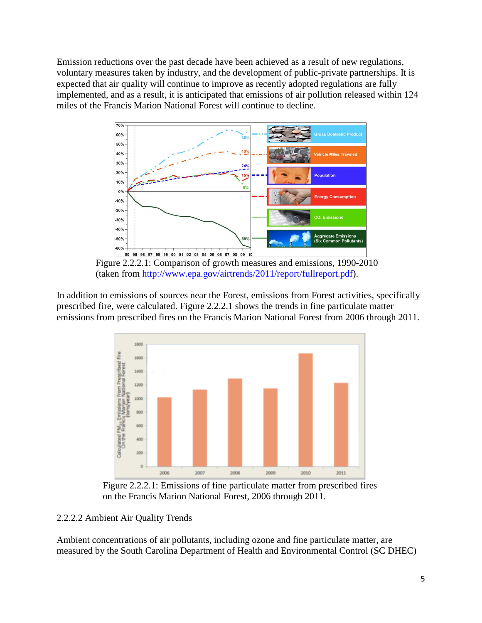Emission reductions over the past decade have been achieved as a result of new regulations, voluntary measures taken by industry, and the development of public-private partnerships. It is expected that air quality will continue to improve as recently adopted regulations are fully implemented, and as a result, it is anticipated that emissions of air pollution released within 124 miles of the Francis Marion National Forest will continue to decline.



Figure 2.2.2.1: Comparison of growth measures and emissions, 1990-2010 (taken from [http://www.epa.gov/airtrends/2011/report/fullreport.pdf\)](http://www.epa.gov/airtrends/2011/report/fullreport.pdf).

In addition to emissions of sources near the Forest, emissions from Forest activities, specifically prescribed fire, were calculated. Figure 2.2.2.1 shows the trends in fine particulate matter emissions from prescribed fires on the Francis Marion National Forest from 2006 through 2011.



Figure 2.2.2.1: Emissions of fine particulate matter from prescribed fires on the Francis Marion National Forest, 2006 through 2011.

### 2.2.2.2 Ambient Air Quality Trends

Ambient concentrations of air pollutants, including ozone and fine particulate matter, are measured by the South Carolina Department of Health and Environmental Control (SC DHEC)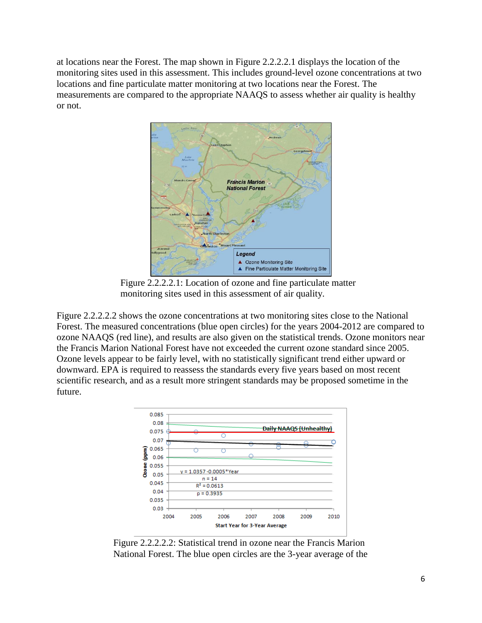at locations near the Forest. The map shown in Figure 2.2.2.2.1 displays the location of the monitoring sites used in this assessment. This includes ground-level ozone concentrations at two locations and fine particulate matter monitoring at two locations near the Forest. The measurements are compared to the appropriate NAAQS to assess whether air quality is healthy or not.



Figure 2.2.2.2.1: Location of ozone and fine particulate matter monitoring sites used in this assessment of air quality.

Figure 2.2.2.2.2 shows the ozone concentrations at two monitoring sites close to the National Forest. The measured concentrations (blue open circles) for the years 2004-2012 are compared to ozone NAAQS (red line), and results are also given on the statistical trends. Ozone monitors near the Francis Marion National Forest have not exceeded the current ozone standard since 2005. Ozone levels appear to be fairly level, with no statistically significant trend either upward or downward. EPA is required to reassess the standards every five years based on most recent scientific research, and as a result more stringent standards may be proposed sometime in the future.



Figure 2.2.2.2.2: Statistical trend in ozone near the Francis Marion National Forest. The blue open circles are the 3-year average of the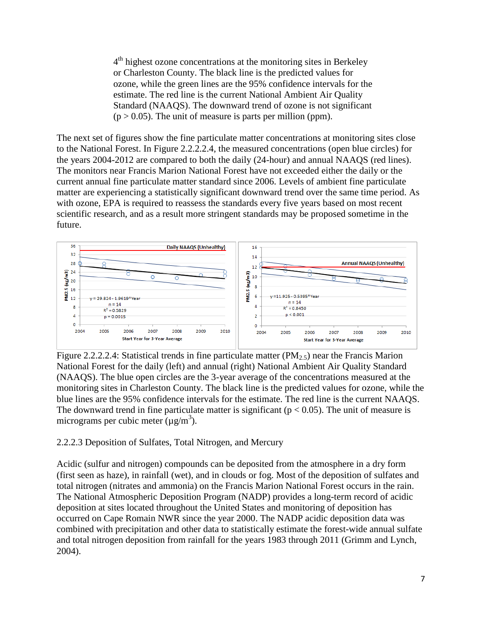4<sup>th</sup> highest ozone concentrations at the monitoring sites in Berkeley or Charleston County. The black line is the predicted values for ozone, while the green lines are the 95% confidence intervals for the estimate. The red line is the current National Ambient Air Quality Standard (NAAQS). The downward trend of ozone is not significant  $(p > 0.05)$ . The unit of measure is parts per million (ppm).

The next set of figures show the fine particulate matter concentrations at monitoring sites close to the National Forest. In Figure 2.2.2.2.4, the measured concentrations (open blue circles) for the years 2004-2012 are compared to both the daily (24-hour) and annual NAAQS (red lines). The monitors near Francis Marion National Forest have not exceeded either the daily or the current annual fine particulate matter standard since 2006. Levels of ambient fine particulate matter are experiencing a statistically significant downward trend over the same time period. As with ozone, EPA is required to reassess the standards every five years based on most recent scientific research, and as a result more stringent standards may be proposed sometime in the future.



Figure 2.2.2.2.4: Statistical trends in fine particulate matter ( $PM<sub>2.5</sub>$ ) near the Francis Marion National Forest for the daily (left) and annual (right) National Ambient Air Quality Standard (NAAQS). The blue open circles are the 3-year average of the concentrations measured at the monitoring sites in Charleston County. The black line is the predicted values for ozone, while the blue lines are the 95% confidence intervals for the estimate. The red line is the current NAAQS. The downward trend in fine particulate matter is significant ( $p < 0.05$ ). The unit of measure is micrograms per cubic meter  $(\mu g/m^3)$ .

## 2.2.2.3 Deposition of Sulfates, Total Nitrogen, and Mercury

Acidic (sulfur and nitrogen) compounds can be deposited from the atmosphere in a dry form (first seen as haze), in rainfall (wet), and in clouds or fog. Most of the deposition of sulfates and total nitrogen (nitrates and ammonia) on the Francis Marion National Forest occurs in the rain. The National Atmospheric Deposition Program (NADP) provides a long-term record of acidic deposition at sites located throughout the United States and monitoring of deposition has occurred on Cape Romain NWR since the year 2000. The NADP acidic deposition data was combined with precipitation and other data to statistically estimate the forest-wide annual sulfate and total nitrogen deposition from rainfall for the years 1983 through 2011 (Grimm and Lynch, 2004).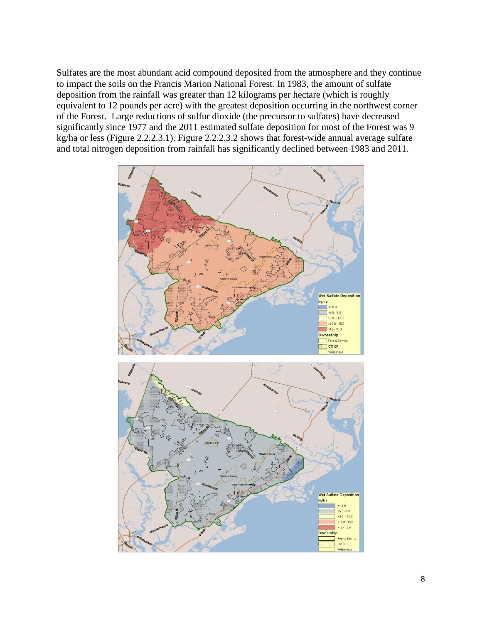Sulfates are the most abundant acid compound deposited from the atmosphere and they continue to impact the soils on the Francis Marion National Forest. In 1983, the amount of sulfate deposition from the rainfall was greater than 12 kilograms per hectare (which is roughly equivalent to 12 pounds per acre) with the greatest deposition occurring in the northwest corner of the Forest. Large reductions of sulfur dioxide (the precursor to sulfates) have decreased significantly since 1977 and the 2011 estimated sulfate deposition for most of the Forest was 9 kg/ha or less (Figure 2.2.2.3.1). Figure 2.2.2.3.2 shows that forest-wide annual average sulfate and total nitrogen deposition from rainfall has significantly declined between 1983 and 2011.

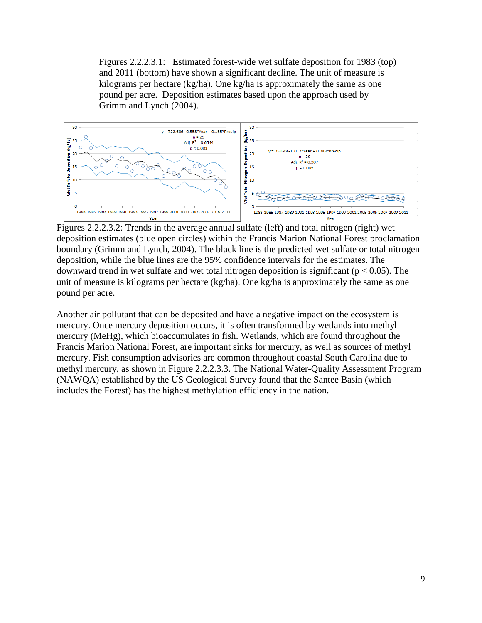Figures 2.2.2.3.1: Estimated forest-wide wet sulfate deposition for 1983 (top) and 2011 (bottom) have shown a significant decline. The unit of measure is kilograms per hectare (kg/ha). One kg/ha is approximately the same as one pound per acre. Deposition estimates based upon the approach used by Grimm and Lynch (2004).



Figures 2.2.2.3.2: Trends in the average annual sulfate (left) and total nitrogen (right) wet deposition estimates (blue open circles) within the Francis Marion National Forest proclamation boundary (Grimm and Lynch, 2004). The black line is the predicted wet sulfate or total nitrogen deposition, while the blue lines are the 95% confidence intervals for the estimates. The downward trend in wet sulfate and wet total nitrogen deposition is significant ( $p < 0.05$ ). The unit of measure is kilograms per hectare (kg/ha). One kg/ha is approximately the same as one pound per acre.

Another air pollutant that can be deposited and have a negative impact on the ecosystem is mercury. Once mercury deposition occurs, it is often transformed by wetlands into methyl mercury (MeHg), which bioaccumulates in fish. Wetlands, which are found throughout the Francis Marion National Forest, are important sinks for mercury, as well as sources of methyl mercury. Fish consumption advisories are common throughout coastal South Carolina due to methyl mercury, as shown in Figure 2.2.2.3.3. The National Water-Quality Assessment Program (NAWQA) established by the US Geological Survey found that the Santee Basin (which includes the Forest) has the highest methylation efficiency in the nation.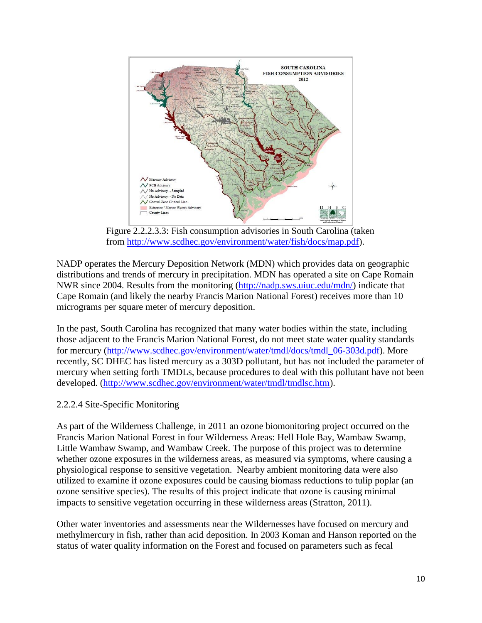

Figure 2.2.2.3.3: Fish consumption advisories in South Carolina (taken from [http://www.scdhec.gov/environment/water/fish/docs/map.pdf\)](http://www.scdhec.gov/environment/water/fish/docs/map.pdf).

NADP operates the Mercury Deposition Network (MDN) which provides data on geographic distributions and trends of mercury in precipitation. MDN has operated a site on Cape Romain NWR since 2004. Results from the monitoring [\(http://nadp.sws.uiuc.edu/mdn/\)](http://nadp.sws.uiuc.edu/mdn/) indicate that Cape Romain (and likely the nearby Francis Marion National Forest) receives more than 10 micrograms per square meter of mercury deposition.

In the past, South Carolina has recognized that many water bodies within the state, including those adjacent to the Francis Marion National Forest, do not meet state water quality standards for mercury [\(http://www.scdhec.gov/environment/water/tmdl/docs/tmdl\\_06-303d.pdf\)](http://www.scdhec.gov/environment/water/tmdl/docs/tmdl_06-303d.pdf). More recently, SC DHEC has listed mercury as a 303D pollutant, but has not included the parameter of mercury when setting forth TMDLs, because procedures to deal with this pollutant have not been developed. [\(http://www.scdhec.gov/environment/water/tmdl/tmdlsc.htm\)](http://www.scdhec.gov/environment/water/tmdl/tmdlsc.htm).

## 2.2.2.4 Site-Specific Monitoring

As part of the Wilderness Challenge, in 2011 an ozone biomonitoring project occurred on the Francis Marion National Forest in four Wilderness Areas: Hell Hole Bay, Wambaw Swamp, Little Wambaw Swamp, and Wambaw Creek. The purpose of this project was to determine whether ozone exposures in the wilderness areas, as measured via symptoms, where causing a physiological response to sensitive vegetation. Nearby ambient monitoring data were also utilized to examine if ozone exposures could be causing biomass reductions to tulip poplar (an ozone sensitive species). The results of this project indicate that ozone is causing minimal impacts to sensitive vegetation occurring in these wilderness areas (Stratton, 2011).

Other water inventories and assessments near the Wildernesses have focused on mercury and methylmercury in fish, rather than acid deposition. In 2003 Koman and Hanson reported on the status of water quality information on the Forest and focused on parameters such as fecal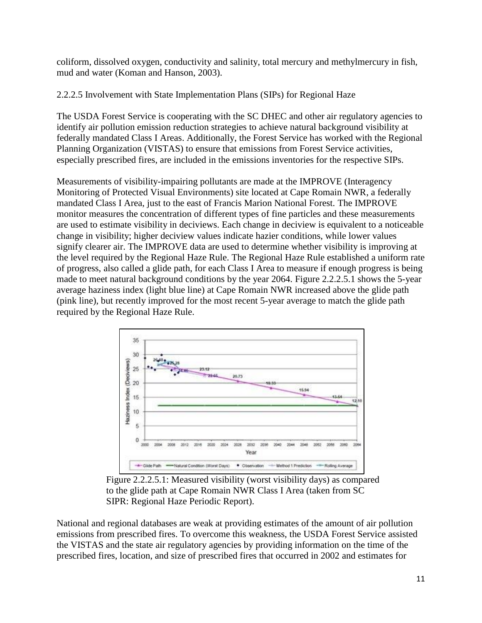coliform, dissolved oxygen, conductivity and salinity, total mercury and methylmercury in fish, mud and water (Koman and Hanson, 2003).

2.2.2.5 Involvement with State Implementation Plans (SIPs) for Regional Haze

The USDA Forest Service is cooperating with the SC DHEC and other air regulatory agencies to identify air pollution emission reduction strategies to achieve natural background visibility at federally mandated Class I Areas. Additionally, the Forest Service has worked with the Regional Planning Organization (VISTAS) to ensure that emissions from Forest Service activities, especially prescribed fires, are included in the emissions inventories for the respective SIPs.

Measurements of visibility-impairing pollutants are made at the IMPROVE (Interagency Monitoring of Protected Visual Environments) site located at Cape Romain NWR, a federally mandated Class I Area, just to the east of Francis Marion National Forest. The IMPROVE monitor measures the concentration of different types of fine particles and these measurements are used to estimate visibility in deciviews. Each change in deciview is equivalent to a noticeable change in visibility; higher deciview values indicate hazier conditions, while lower values signify clearer air. The IMPROVE data are used to determine whether visibility is improving at the level required by the Regional Haze Rule. The Regional Haze Rule established a uniform rate of progress, also called a glide path, for each Class I Area to measure if enough progress is being made to meet natural background conditions by the year 2064. Figure 2.2.2.5.1 shows the 5-year average haziness index (light blue line) at Cape Romain NWR increased above the glide path (pink line), but recently improved for the most recent 5-year average to match the glide path required by the Regional Haze Rule.



Figure 2.2.2.5.1: Measured visibility (worst visibility days) as compared to the glide path at Cape Romain NWR Class I Area (taken from SC SIPR: Regional Haze Periodic Report).

National and regional databases are weak at providing estimates of the amount of air pollution emissions from prescribed fires. To overcome this weakness, the USDA Forest Service assisted the VISTAS and the state air regulatory agencies by providing information on the time of the prescribed fires, location, and size of prescribed fires that occurred in 2002 and estimates for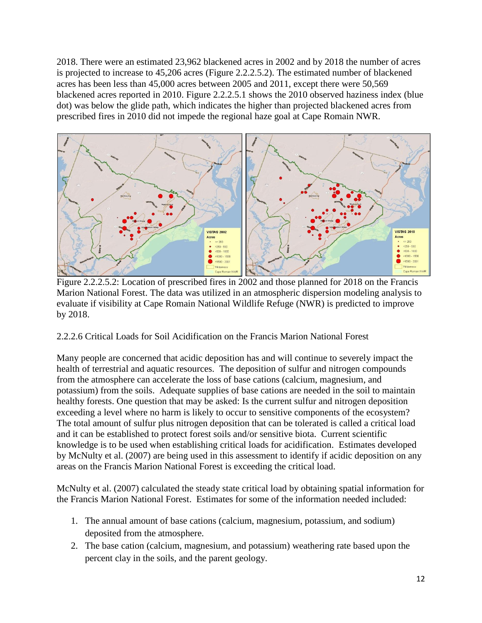2018. There were an estimated 23,962 blackened acres in 2002 and by 2018 the number of acres is projected to increase to 45,206 acres (Figure 2.2.2.5.2). The estimated number of blackened acres has been less than 45,000 acres between 2005 and 2011, except there were 50,569 blackened acres reported in 2010. Figure 2.2.2.5.1 shows the 2010 observed haziness index (blue dot) was below the glide path, which indicates the higher than projected blackened acres from prescribed fires in 2010 did not impede the regional haze goal at Cape Romain NWR.



Figure 2.2.2.5.2: Location of prescribed fires in 2002 and those planned for 2018 on the Francis Marion National Forest. The data was utilized in an atmospheric dispersion modeling analysis to evaluate if visibility at Cape Romain National Wildlife Refuge (NWR) is predicted to improve by 2018.

2.2.2.6 Critical Loads for Soil Acidification on the Francis Marion National Forest

Many people are concerned that acidic deposition has and will continue to severely impact the health of terrestrial and aquatic resources. The deposition of sulfur and nitrogen compounds from the atmosphere can accelerate the loss of base cations (calcium, magnesium, and potassium) from the soils. Adequate supplies of base cations are needed in the soil to maintain healthy forests. One question that may be asked: Is the current sulfur and nitrogen deposition exceeding a level where no harm is likely to occur to sensitive components of the ecosystem? The total amount of sulfur plus nitrogen deposition that can be tolerated is called a critical load and it can be established to protect forest soils and/or sensitive biota. Current scientific knowledge is to be used when establishing critical loads for acidification. Estimates developed by McNulty et al. (2007) are being used in this assessment to identify if acidic deposition on any areas on the Francis Marion National Forest is exceeding the critical load.

McNulty et al. (2007) calculated the steady state critical load by obtaining spatial information for the Francis Marion National Forest. Estimates for some of the information needed included:

- 1. The annual amount of base cations (calcium, magnesium, potassium, and sodium) deposited from the atmosphere.
- 2. The base cation (calcium, magnesium, and potassium) weathering rate based upon the percent clay in the soils, and the parent geology.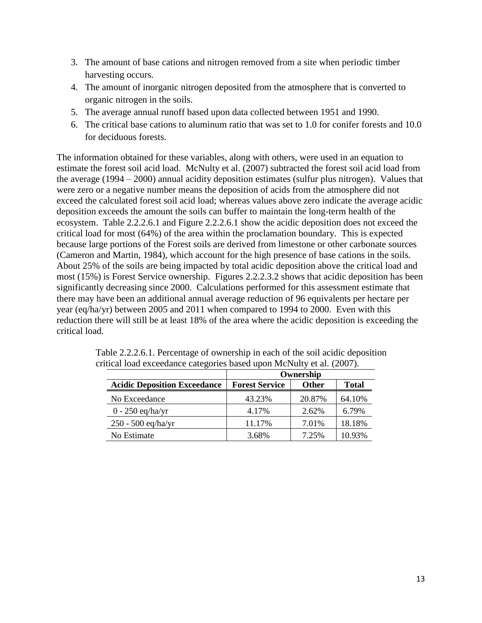- 3. The amount of base cations and nitrogen removed from a site when periodic timber harvesting occurs.
- 4. The amount of inorganic nitrogen deposited from the atmosphere that is converted to organic nitrogen in the soils.
- 5. The average annual runoff based upon data collected between 1951 and 1990.
- 6. The critical base cations to aluminum ratio that was set to 1.0 for conifer forests and 10.0 for deciduous forests.

The information obtained for these variables, along with others, were used in an equation to estimate the forest soil acid load. McNulty et al. (2007) subtracted the forest soil acid load from the average (1994 – 2000) annual acidity deposition estimates (sulfur plus nitrogen). Values that were zero or a negative number means the deposition of acids from the atmosphere did not exceed the calculated forest soil acid load; whereas values above zero indicate the average acidic deposition exceeds the amount the soils can buffer to maintain the long-term health of the ecosystem. Table 2.2.2.6.1 and Figure 2.2.2.6.1 show the acidic deposition does not exceed the critical load for most (64%) of the area within the proclamation boundary. This is expected because large portions of the Forest soils are derived from limestone or other carbonate sources (Cameron and Martin, 1984), which account for the high presence of base cations in the soils. About 25% of the soils are being impacted by total acidic deposition above the critical load and most (15%) is Forest Service ownership. Figures 2.2.2.3.2 shows that acidic deposition has been significantly decreasing since 2000. Calculations performed for this assessment estimate that there may have been an additional annual average reduction of 96 equivalents per hectare per year (eq/ha/yr) between 2005 and 2011 when compared to 1994 to 2000. Even with this reduction there will still be at least 18% of the area where the acidic deposition is exceeding the critical load.

|                                     | Ownership             |              |              |  |
|-------------------------------------|-----------------------|--------------|--------------|--|
| <b>Acidic Deposition Exceedance</b> | <b>Forest Service</b> | <b>Other</b> | <b>Total</b> |  |
| No Exceedance                       | 43.23%                | 20.87%       | 64.10%       |  |
| $0 - 250$ eq/ha/yr                  | 4.17%                 | 2.62%        | 6.79%        |  |
| $250 - 500$ eq/ha/yr                | 11.17%                | 7.01%        | 18.18%       |  |
| No Estimate                         | 3.68%                 | 7.25%        | 10.93%       |  |

| Table 2.2.2.6.1. Percentage of ownership in each of the soil acidic deposition |
|--------------------------------------------------------------------------------|
| critical load exceedance categories based upon McNulty et al. (2007).          |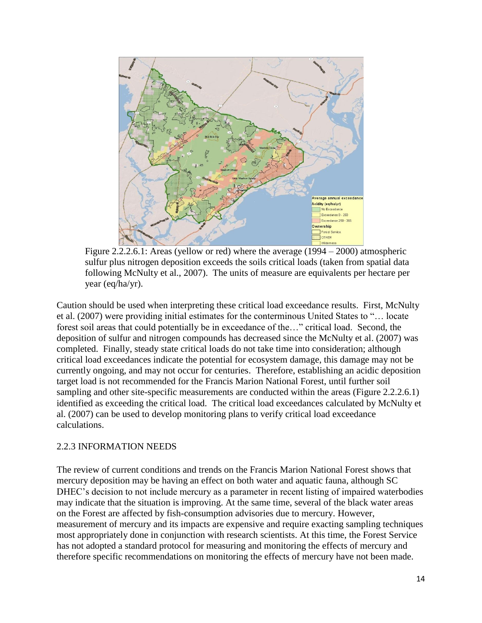

Figure 2.2.2.6.1: Areas (yellow or red) where the average (1994 – 2000) atmospheric sulfur plus nitrogen deposition exceeds the soils critical loads (taken from spatial data following McNulty et al., 2007). The units of measure are equivalents per hectare per year (eq/ha/yr).

Caution should be used when interpreting these critical load exceedance results. First, McNulty et al. (2007) were providing initial estimates for the conterminous United States to "… locate forest soil areas that could potentially be in exceedance of the…" critical load. Second, the deposition of sulfur and nitrogen compounds has decreased since the McNulty et al. (2007) was completed. Finally, steady state critical loads do not take time into consideration; although critical load exceedances indicate the potential for ecosystem damage, this damage may not be currently ongoing, and may not occur for centuries. Therefore, establishing an acidic deposition target load is not recommended for the Francis Marion National Forest, until further soil sampling and other site-specific measurements are conducted within the areas (Figure 2.2.2.6.1) identified as exceeding the critical load. The critical load exceedances calculated by McNulty et al. (2007) can be used to develop monitoring plans to verify critical load exceedance calculations.

### 2.2.3 INFORMATION NEEDS

The review of current conditions and trends on the Francis Marion National Forest shows that mercury deposition may be having an effect on both water and aquatic fauna, although SC DHEC's decision to not include mercury as a parameter in recent listing of impaired waterbodies may indicate that the situation is improving. At the same time, several of the black water areas on the Forest are affected by fish-consumption advisories due to mercury. However, measurement of mercury and its impacts are expensive and require exacting sampling techniques most appropriately done in conjunction with research scientists. At this time, the Forest Service has not adopted a standard protocol for measuring and monitoring the effects of mercury and therefore specific recommendations on monitoring the effects of mercury have not been made.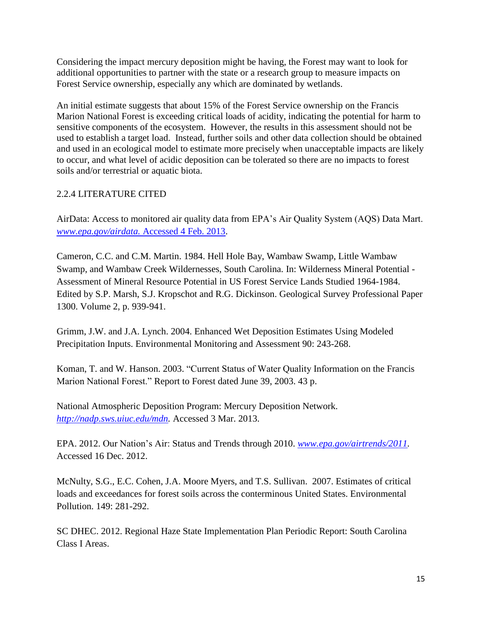Considering the impact mercury deposition might be having, the Forest may want to look for additional opportunities to partner with the state or a research group to measure impacts on Forest Service ownership, especially any which are dominated by wetlands.

An initial estimate suggests that about 15% of the Forest Service ownership on the Francis Marion National Forest is exceeding critical loads of acidity, indicating the potential for harm to sensitive components of the ecosystem. However, the results in this assessment should not be used to establish a target load. Instead, further soils and other data collection should be obtained and used in an ecological model to estimate more precisely when unacceptable impacts are likely to occur, and what level of acidic deposition can be tolerated so there are no impacts to forest soils and/or terrestrial or aquatic biota.

# 2.2.4 LITERATURE CITED

AirData: Access to monitored air quality data from EPA's Air Quality System (AQS) Data Mart. *[www.epa.gov/airdata.](http://www.epa.gov/airdata.%20Accessed%204%20Feb.%202013)* Accessed 4 Feb. 2013.

Cameron, C.C. and C.M. Martin. 1984. Hell Hole Bay, Wambaw Swamp, Little Wambaw Swamp, and Wambaw Creek Wildernesses, South Carolina. In: Wilderness Mineral Potential - Assessment of Mineral Resource Potential in US Forest Service Lands Studied 1964-1984. Edited by S.P. Marsh, S.J. Kropschot and R.G. Dickinson. Geological Survey Professional Paper 1300. Volume 2, p. 939-941.

Grimm, J.W. and J.A. Lynch. 2004. Enhanced Wet Deposition Estimates Using Modeled Precipitation Inputs. Environmental Monitoring and Assessment 90: 243-268.

Koman, T. and W. Hanson. 2003. "Current Status of Water Quality Information on the Francis Marion National Forest." Report to Forest dated June 39, 2003. 43 p.

National Atmospheric Deposition Program: Mercury Deposition Network. *[http://nadp.sws.uiuc.edu/mdn.](http://nadp.sws.uiuc.edu/mdn)* Accessed 3 Mar. 2013.

EPA. 2012. Our Nation's Air: Status and Trends through 2010. *[www.epa.gov/airtrends/2011.](http://www.epa.gov/airtrends/2011)*  Accessed 16 Dec. 2012.

McNulty, S.G., E.C. Cohen, J.A. Moore Myers, and T.S. Sullivan. 2007. Estimates of critical loads and exceedances for forest soils across the conterminous United States. Environmental Pollution. 149: 281-292.

SC DHEC. 2012. Regional Haze State Implementation Plan Periodic Report: South Carolina Class I Areas.